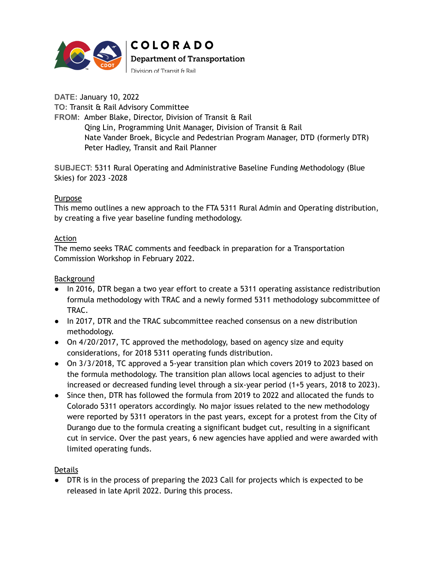

**COLORADO Department of Transportation** 

Division of Transit & Rail

**DATE:** January 10, 2022 **TO:** Transit & Rail Advisory Committee **FROM:** Amber Blake, Director, Division of Transit & Rail Qing Lin, Programming Unit Manager, Division of Transit & Rail Nate Vander Broek, Bicycle and Pedestrian Program Manager, DTD (formerly DTR) Peter Hadley, Transit and Rail Planner

**SUBJECT:** 5311 Rural Operating and Administrative Baseline Funding Methodology (Blue Skies) for 2023 -2028

## Purpose

This memo outlines a new approach to the FTA 5311 Rural Admin and Operating distribution, by creating a five year baseline funding methodology.

## Action

The memo seeks TRAC comments and feedback in preparation for a Transportation Commission Workshop in February 2022.

### Background

- In 2016, DTR began a two year effort to create a 5311 operating assistance redistribution formula methodology with TRAC and a newly formed 5311 methodology subcommittee of TRAC.
- In 2017, DTR and the TRAC subcommittee reached consensus on a new distribution methodology.
- On 4/20/2017, TC approved the methodology, based on agency size and equity considerations, for 2018 5311 operating funds distribution.
- On 3/3/2018, TC approved a 5-year transition plan which covers 2019 to 2023 based on the formula methodology. The transition plan allows local agencies to adjust to their increased or decreased funding level through a six-year period (1+5 years, 2018 to 2023).
- Since then, DTR has followed the formula from 2019 to 2022 and allocated the funds to Colorado 5311 operators accordingly. No major issues related to the new methodology were reported by 5311 operators in the past years, except for a protest from the City of Durango due to the formula creating a significant budget cut, resulting in a significant cut in service. Over the past years, 6 new agencies have applied and were awarded with limited operating funds.

## Details

● DTR is in the process of preparing the 2023 Call for projects which is expected to be released in late April 2022. During this process.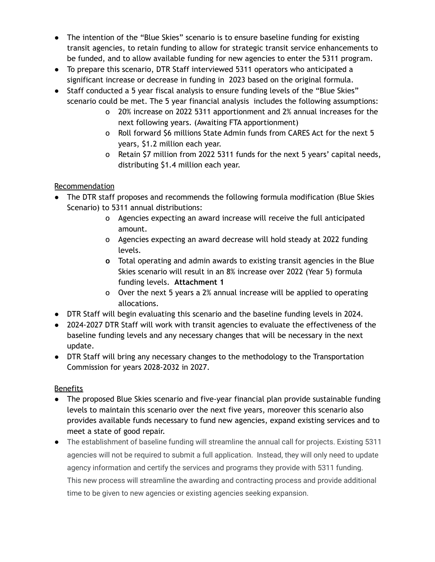- The intention of the "Blue Skies" scenario is to ensure baseline funding for existing transit agencies, to retain funding to allow for strategic transit service enhancements to be funded, and to allow available funding for new agencies to enter the 5311 program.
- To prepare this scenario, DTR Staff interviewed 5311 operators who anticipated a significant increase or decrease in funding in 2023 based on the original formula.
- Staff conducted a 5 year fiscal analysis to ensure funding levels of the "Blue Skies" scenario could be met. The 5 year financial analysis includes the following assumptions:
	- o 20% increase on 2022 5311 apportionment and 2% annual increases for the next following years. (Awaiting FTA apportionment)
	- o Roll forward \$6 millions State Admin funds from CARES Act for the next 5 years, \$1.2 million each year.
	- o Retain \$7 million from 2022 5311 funds for the next 5 years' capital needs, distributing \$1.4 million each year.

# Recommendation

- The DTR staff proposes and recommends the following formula modification (Blue Skies Scenario) to 5311 annual distributions:
	- o Agencies expecting an award increase will receive the full anticipated amount.
	- o Agencies expecting an award decrease will hold steady at 2022 funding levels.
	- **o** Total operating and admin awards to existing transit agencies in the Blue Skies scenario will result in an 8% increase over 2022 (Year 5) formula funding levels. **Attachment 1**
	- o Over the next 5 years a 2% annual increase will be applied to operating allocations.
- DTR Staff will begin evaluating this scenario and the baseline funding levels in 2024.
- 2024-2027 DTR Staff will work with transit agencies to evaluate the effectiveness of the baseline funding levels and any necessary changes that will be necessary in the next update.
- DTR Staff will bring any necessary changes to the methodology to the Transportation Commission for years 2028-2032 in 2027.

# Benefits

- The proposed Blue Skies scenario and five-year financial plan provide sustainable funding levels to maintain this scenario over the next five years, moreover this scenario also provides available funds necessary to fund new agencies, expand existing services and to meet a state of good repair.
- The establishment of baseline funding will streamline the annual call for projects. Existing 5311 agencies will not be required to submit a full application. Instead, they will only need to update agency information and certify the services and programs they provide with 5311 funding. This new process will streamline the awarding and contracting process and provide additional time to be given to new agencies or existing agencies seeking expansion.